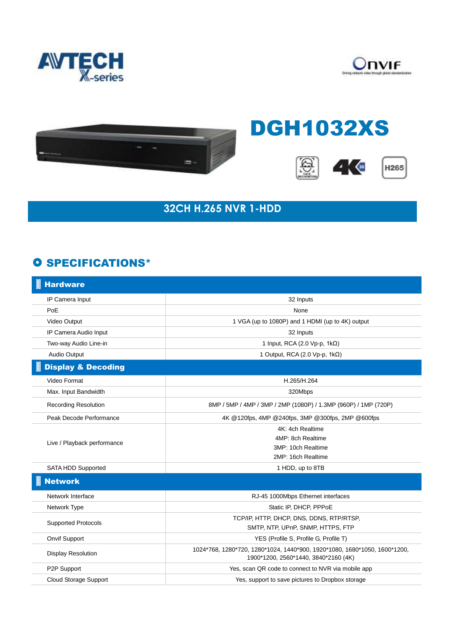





## DGH1032XS







## **32CH H.265 NVR 1-HDD**

## **O SPECIFICATIONS\***

| <b>Hardware</b>               |                                                                                                                   |
|-------------------------------|-------------------------------------------------------------------------------------------------------------------|
| IP Camera Input               | 32 Inputs                                                                                                         |
| PoE                           | None                                                                                                              |
| Video Output                  | 1 VGA (up to 1080P) and 1 HDMI (up to 4K) output                                                                  |
| IP Camera Audio Input         | 32 Inputs                                                                                                         |
| Two-way Audio Line-in         | 1 Input, RCA (2.0 Vp-p, $1k\Omega$ )                                                                              |
| Audio Output                  | 1 Output, RCA (2.0 Vp-p, 1kΩ)                                                                                     |
| <b>Display &amp; Decoding</b> |                                                                                                                   |
| Video Format                  | H.265/H.264                                                                                                       |
| Max. Input Bandwidth          | 320Mbps                                                                                                           |
| <b>Recording Resolution</b>   | 8MP / 5MP / 4MP / 3MP / 2MP (1080P) / 1.3MP (960P) / 1MP (720P)                                                   |
| Peak Decode Performance       | 4K @120fps, 4MP @240fps, 3MP @300fps, 2MP @600fps                                                                 |
| Live / Playback performance   | 4K: 4ch Realtime                                                                                                  |
|                               | 4MP: 8ch Realtime                                                                                                 |
|                               | 3MP: 10ch Realtime                                                                                                |
|                               | 2MP: 16ch Realtime                                                                                                |
| SATA HDD Supported            | 1 HDD, up to 8TB                                                                                                  |
| <b>Network</b>                |                                                                                                                   |
| Network Interface             | RJ-45 1000Mbps Ethernet interfaces                                                                                |
| Network Type                  | Static IP, DHCP, PPPoE                                                                                            |
| <b>Supported Protocols</b>    | TCP/IP, HTTP, DHCP, DNS, DDNS, RTP/RTSP,                                                                          |
|                               | SMTP, NTP, UPnP, SNMP, HTTPS, FTP                                                                                 |
| <b>Onvif Support</b>          | YES (Profile S, Profile G, Profile T)                                                                             |
| <b>Display Resolution</b>     | 1024*768, 1280*720, 1280*1024, 1440*900, 1920*1080, 1680*1050, 1600*1200,<br>1900*1200, 2560*1440, 3840*2160 (4K) |
| P2P Support                   | Yes, scan QR code to connect to NVR via mobile app                                                                |
| <b>Cloud Storage Support</b>  | Yes, support to save pictures to Dropbox storage                                                                  |
|                               |                                                                                                                   |